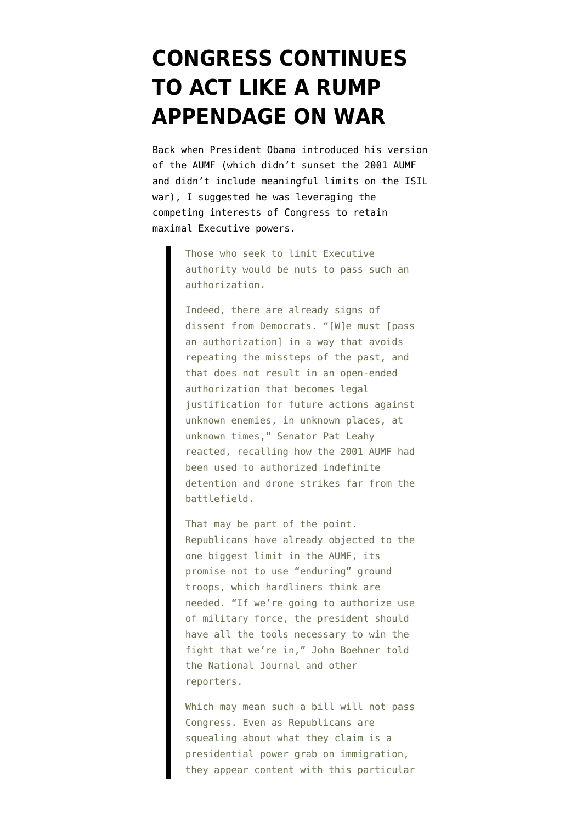## **[CONGRESS CONTINUES](https://www.emptywheel.net/2015/04/14/congress-continues-to-act-like-a-rump-appendage-where-it-matters/) [TO ACT LIKE A RUMP](https://www.emptywheel.net/2015/04/14/congress-continues-to-act-like-a-rump-appendage-where-it-matters/) [APPENDAGE ON WAR](https://www.emptywheel.net/2015/04/14/congress-continues-to-act-like-a-rump-appendage-where-it-matters/)**

Back when President Obama introduced his version of the AUMF (which didn't sunset the 2001 AUMF and didn't include meaningful limits on the ISIL war), I [suggested](http://www.salon.com/2015/02/17/americas_out_of_control_war_machine_why_the_new_authorization_is_so_problematic/) he was leveraging the competing interests of Congress to retain maximal Executive powers.

> Those who seek to limit Executive authority would be nuts to pass such an authorization.

Indeed, there are already signs of dissent from Democrats. "[W]e must [pass an authorization] in a way that avoids repeating the missteps of the past, and that does not result in an open-ended authorization that becomes legal justification for future actions against unknown enemies, in unknown places, at unknown times," Senator Pat Leahy reacted, recalling how the 2001 AUMF had been used to authorized indefinite detention and drone strikes far from the battlefield.

That may be part of the point. Republicans have already objected to the one biggest limit in the AUMF, its promise not to use "enduring" ground troops, which hardliners think are needed. "If we're going to authorize use of military force, the president should have all the tools necessary to win the fight that we're in," John Boehner told the National Journal and other reporters.

Which may mean such a bill will not pass Congress. Even as Republicans are squealing about what they claim is a presidential power grab on immigration, they appear content with this particular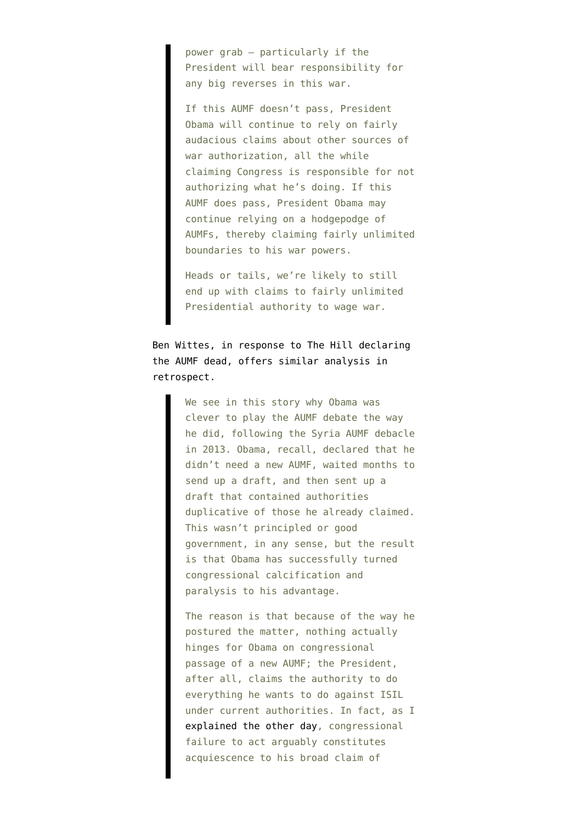power grab — particularly if the President will bear responsibility for any big reverses in this war.

If this AUMF doesn't pass, President Obama will continue to rely on fairly audacious claims about other sources of war authorization, all the while claiming Congress is responsible for not authorizing what he's doing. If this AUMF does pass, President Obama may continue relying on a hodgepodge of AUMFs, thereby claiming fairly unlimited boundaries to his war powers.

Heads or tails, we're likely to still end up with claims to fairly unlimited Presidential authority to wage war.

Ben Wittes, in response to The Hill [declaring](http://thehill.com/policy/defense/238619-gop-obama-war-request-is-dead) the AUMF dead, [offers](http://www.lawfareblog.com/2015/04/the-aumf-is-dead-long-live-the-aumf/) similar analysis in retrospect.

> We see in this story why Obama was clever to play the AUMF debate the way he did, following the Syria AUMF debacle in 2013. Obama, recall, declared that he didn't need a new AUMF, waited months to send up a draft, and then sent up a draft that contained authorities duplicative of those he already claimed. This wasn't principled or good government, in any sense, but the result is that Obama has successfully turned congressional calcification and paralysis to his advantage.

> The reason is that because of the way he postured the matter, nothing actually hinges for Obama on congressional passage of a new AUMF; the President, after all, claims the authority to do everything he wants to do against ISIL under current authorities. In fact, as I [explained the other day,](http://www.lawfareblog.com/2015/04/the-consequences-of-congressional-inaction-on-the-aumf/) congressional failure to act arguably constitutes acquiescence to his broad claim of